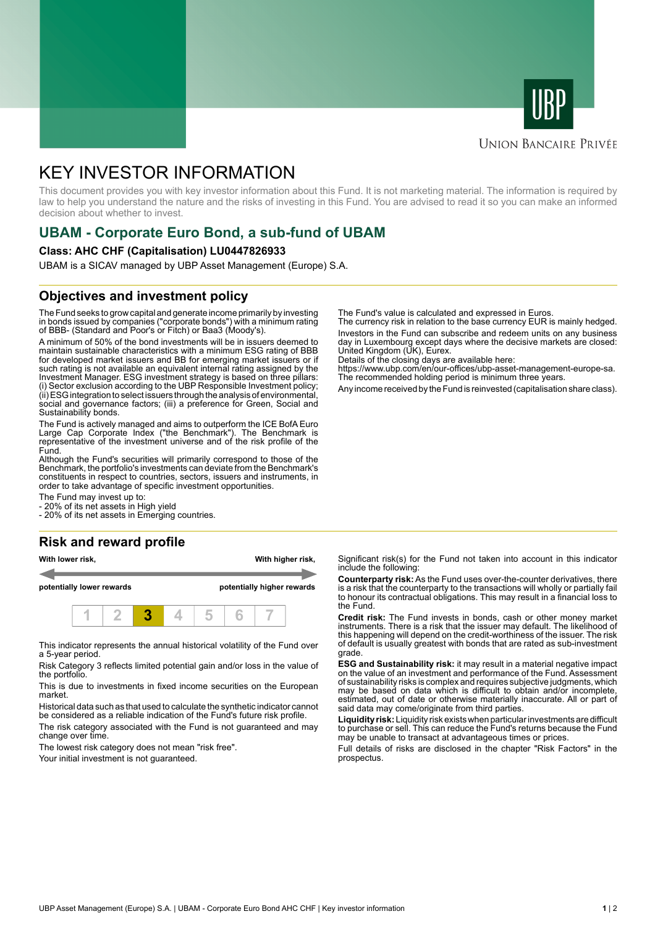



### **UNION BANCAIRE PRIVÉE**

# KEY INVESTOR INFORMATION

This document provides you with key investor information about this Fund. It is not marketing material. The information is required by law to help you understand the nature and the risks of investing in this Fund. You are advised to read it so you can make an informed decision about whether to invest.

# **UBAM - Corporate Euro Bond, a sub-fund of UBAM**

#### **Class: AHC CHF (Capitalisation) LU0447826933**

UBAM is a SICAV managed by UBP Asset Management (Europe) S.A.

### **Objectives and investment policy**

The Fund seeks to grow capital and generate income primarily by investing in bonds issued by companies ("corporate bonds") with a minimum rating of BBB- (Standard and Poor's or Fitch) or Baa3 (Moody's).

A minimum of 50% of the bond investments will be in issuers deemed to maintain sustainable characteristics with a minimum ESG rating of BBB for developed market issuers and BB for emerging market issuers or if such rating is not available an equivalent internal rating assigned by the Investment Manager. ESG investment strategy is based on three pillars: (i) Sector exclusion according to the UBP Responsible Investment policy; (ii) ESG integration to select issuers through the analysis of environmental, social and governance factors; (iii) a preference for Green, Social and Sustainability bonds.

The Fund is actively managed and aims to outperform the ICE BofA Euro Large Cap Corporate Index ("the Benchmark"). The Benchmark is representative of the investment universe and of the risk profile of the Fund.

Although the Fund's securities will primarily correspond to those of the Benchmark, the portfolio's investments can deviate from the Benchmark's constituents in respect to countries, sectors, issuers and instruments, in order to take advantage of specific investment opportunities.

The Fund may invest up to:

- 20% of its net assets in High yield

- 20% of its net assets in Emerging countries.

#### **Risk and reward profile**

**With lower risk, With higher risk, potentially lower rewards potentially higher rewards**

This indicator represents the annual historical volatility of the Fund over a 5-year period.

**1 2 3 4 5 6 7**

Risk Category 3 reflects limited potential gain and/or loss in the value of the portfolio.

This is due to investments in fixed income securities on the European market.

Historical data such as that used to calculate the synthetic indicator cannot be considered as a reliable indication of the Fund's future risk profile. The risk category associated with the Fund is not guaranteed and may

change over time.

The lowest risk category does not mean "risk free".

Your initial investment is not guaranteed.

The Fund's value is calculated and expressed in Euros.

The currency risk in relation to the base currency EUR is mainly hedged. Investors in the Fund can subscribe and redeem units on any business day in Luxembourg except days where the decisive markets are closed: United Kingdom (UK), Eurex.

Details of the closing days are available here:

https://www.ubp.com/en/our-offices/ubp-asset-management-europe-sa. The recommended holding period is minimum three years.

Any income received by the Fund is reinvested (capitalisation share class).

Significant risk(s) for the Fund not taken into account in this indicator include the following:

**Counterparty risk:** As the Fund uses over-the-counter derivatives, there is a risk that the counterparty to the transactions will wholly or partially fail to honour its contractual obligations. This may result in a financial loss to the Fund.

**Credit risk:** The Fund invests in bonds, cash or other money market instruments. There is a risk that the issuer may default. The likelihood of this happening will depend on the credit-worthiness of the issuer. The risk of default is usually greatest with bonds that are rated as sub-investment grade.

**ESG and Sustainability risk:** it may result in a material negative impact on the value of an investment and performance of the Fund. Assessment of sustainability risks is complex and requires subjective judgments, which may be based on data which is difficult to obtain and/or incomplete, estimated, out of date or otherwise materially inaccurate. All or part of said data may come/originate from third parties.

**Liquidity risk:** Liquidity risk exists when particular investments are difficult to purchase or sell. This can reduce the Fund's returns because the Fund may be unable to transact at advantageous times or prices.

Full details of risks are disclosed in the chapter "Risk Factors" in the prospectus.